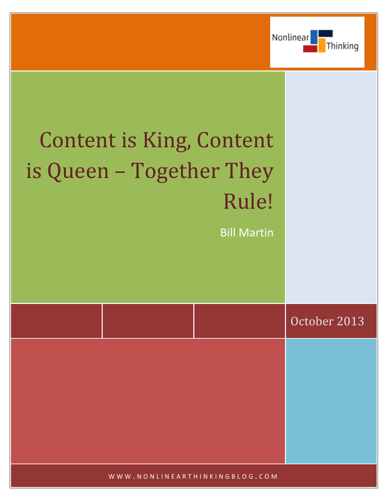

# Content is King, Content is Queen – Together They Rule!

Bill Martin

|  | October 2013 |
|--|--------------|
|  |              |
|  |              |
|  |              |
|  |              |
|  |              |

WWW.NONLINEARTHINKINGBLOG.COM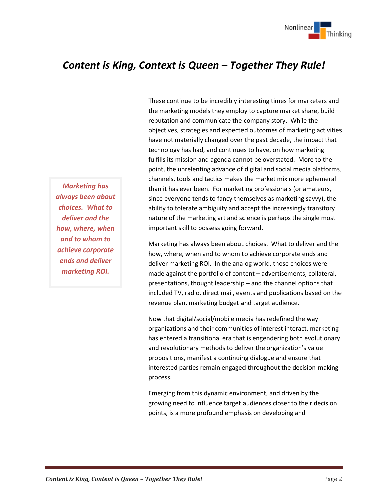

# *Content is King, Context is Queen – Together They Rule!*

*Marketing has always been about choices. What to deliver and the how, where, when and to whom to achieve corporate ends and deliver marketing ROI.*

These continue to be incredibly interesting times for marketers and the marketing models they employ to capture market share, build reputation and communicate the company story. While the objectives, strategies and expected outcomes of marketing activities have not materially changed over the past decade, the impact that technology has had, and continues to have, on how marketing fulfills its mission and agenda cannot be overstated. More to the point, the unrelenting advance of digital and social media platforms, channels, tools and tactics makes the market mix more ephemeral than it has ever been. For marketing professionals (or amateurs, since everyone tends to fancy themselves as marketing savvy), the ability to tolerate ambiguity and accept the increasingly transitory nature of the marketing art and science is perhaps the single most important skill to possess going forward.

Marketing has always been about choices. What to deliver and the how, where, when and to whom to achieve corporate ends and deliver marketing ROI. In the analog world, those choices were made against the portfolio of content – advertisements, collateral, presentations, thought leadership – and the channel options that included TV, radio, direct mail, events and publications based on the revenue plan, marketing budget and target audience.

Now that digital/social/mobile media has redefined the way organizations and their communities of interest interact, marketing has entered a transitional era that is engendering both evolutionary and revolutionary methods to deliver the organization's value propositions, manifest a continuing dialogue and ensure that interested parties remain engaged throughout the decision-making process.

Emerging from this dynamic environment, and driven by the growing need to influence target audiences closer to their decision points, is a more profound emphasis on developing and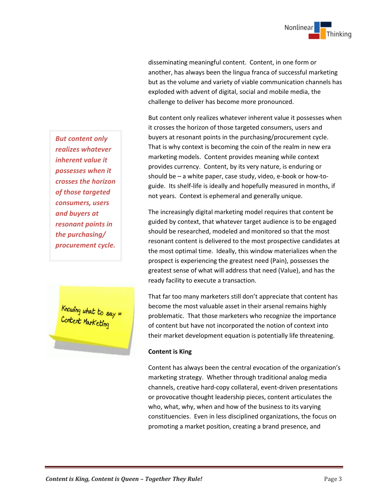

disseminating meaningful content. Content, in one form or another, has always been the lingua franca of successful marketing but as the volume and variety of viable communication channels has exploded with advent of digital, social and mobile media, the challenge to deliver has become more pronounced.

But content only realizes whatever inherent value it possesses when it crosses the horizon of those targeted consumers, users and buyers at resonant points in the purchasing/procurement cycle. That is why context is becoming the coin of the realm in new era marketing models. Content provides meaning while context provides currency. Content, by its very nature, is enduring or should be – a white paper, case study, video, e-book or how-toguide. Its shelf-life is ideally and hopefully measured in months, if not years. Context is ephemeral and generally unique.

The increasingly digital marketing model requires that content be guided by context, that whatever target audience is to be engaged should be researched, modeled and monitored so that the most resonant content is delivered to the most prospective candidates at the most optimal time. Ideally, this window materializes when the prospect is experiencing the greatest need (Pain), possesses the greatest sense of what will address that need (Value), and has the ready facility to execute a transaction.

That far too many marketers still don't appreciate that content has become the most valuable asset in their arsenal remains highly problematic. That those marketers who recognize the importance of content but have not incorporated the notion of context into their market development equation is potentially life threatening.

## **Content is King**

Content has always been the central evocation of the organization's marketing strategy. Whether through traditional analog media channels, creative hard-copy collateral, event-driven presentations or provocative thought leadership pieces, content articulates the who, what, why, when and how of the business to its varying constituencies. Even in less disciplined organizations, the focus on promoting a market position, creating a brand presence, and

*But content only realizes whatever inherent value it possesses when it crosses the horizon of those targeted consumers, users and buyers at resonant points in the purchasing/ procurement cycle.* 

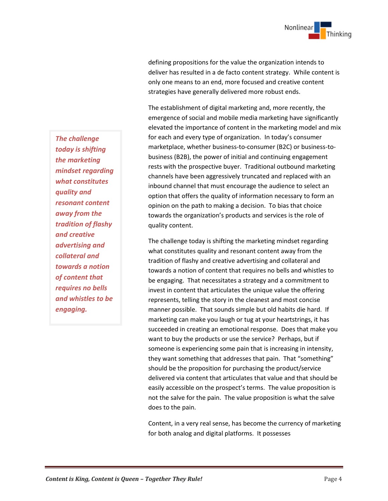

defining propositions for the value the organization intends to deliver has resulted in a de facto content strategy. While content is only one means to an end, more focused and creative content strategies have generally delivered more robust ends.

The establishment of digital marketing and, more recently, the emergence of social and mobile media marketing have significantly elevated the importance of content in the marketing model and mix for each and every type of organization. In today's consumer marketplace, whether business-to-consumer (B2C) or business-tobusiness (B2B), the power of initial and continuing engagement rests with the prospective buyer. Traditional outbound marketing channels have been aggressively truncated and replaced with an inbound channel that must encourage the audience to select an option that offers the quality of information necessary to form an opinion on the path to making a decision. To bias that choice towards the organization's products and services is the role of quality content.

The challenge today is shifting the marketing mindset regarding what constitutes quality and resonant content away from the tradition of flashy and creative advertising and collateral and towards a notion of content that requires no bells and whistles to be engaging. That necessitates a strategy and a commitment to invest in content that articulates the unique value the offering represents, telling the story in the cleanest and most concise manner possible. That sounds simple but old habits die hard. If marketing can make you laugh or tug at your heartstrings, it has succeeded in creating an emotional response. Does that make you want to buy the products or use the service? Perhaps, but if someone is experiencing some pain that is increasing in intensity, they want something that addresses that pain. That "something" should be the proposition for purchasing the product/service delivered via content that articulates that value and that should be easily accessible on the prospect's terms. The value proposition is not the salve for the pain. The value proposition is what the salve does to the pain.

Content, in a very real sense, has become the currency of marketing for both analog and digital platforms. It possesses

*The challenge today is shifting the marketing mindset regarding what constitutes quality and resonant content away from the tradition of flashy and creative advertising and collateral and towards a notion of content that requires no bells and whistles to be engaging.*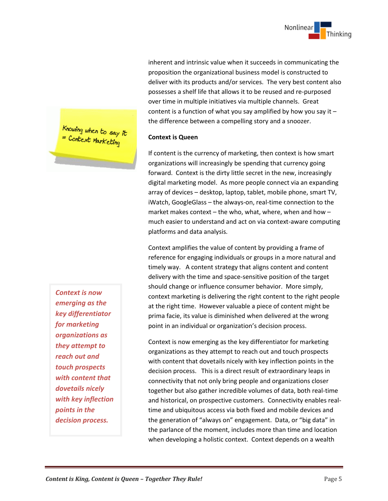

inherent and intrinsic value when it succeeds in communicating the proposition the organizational business model is constructed to deliver with its products and/or services. The very best content also possesses a shelf life that allows it to be reused and re-purposed over time in multiple initiatives via multiple channels. Great content is a function of what you say amplified by how you say it – the difference between a compelling story and a snoozer.

### **Context is Queen**

If content is the currency of marketing, then context is how smart organizations will increasingly be spending that currency going forward. Context is the dirty little secret in the new, increasingly digital marketing model. As more people connect via an expanding array of devices – desktop, laptop, tablet, mobile phone, smart TV, iWatch, GoogleGlass – the always-on, real-time connection to the market makes context – the who, what, where, when and how – much easier to understand and act on via context-aware computing platforms and data analysis.

Context amplifies the value of content by providing a frame of reference for engaging individuals or groups in a more natural and timely way. A content strategy that aligns content and content delivery with the time and space-sensitive position of the target should change or influence consumer behavior. More simply, context marketing is delivering the right content to the right people at the right time. However valuable a piece of content might be prima facie, its value is diminished when delivered at the wrong point in an individual or organization's decision process.

Context is now emerging as the key differentiator for marketing organizations as they attempt to reach out and touch prospects with content that dovetails nicely with key inflection points in the decision process. This is a direct result of extraordinary leaps in connectivity that not only bring people and organizations closer together but also gather incredible volumes of data, both real-time and historical, on prospective customers. Connectivity enables realtime and ubiquitous access via both fixed and mobile devices and the generation of "always on" engagement. Data, or "big data" in the parlance of the moment, includes more than time and location when developing a holistic context. Context depends on a wealth

Knowing when to say it<br>= Context Marketing

*Context is now emerging as the key differentiator for marketing organizations as they attempt to reach out and touch prospects with content that dovetails nicely with key inflection points in the decision process.*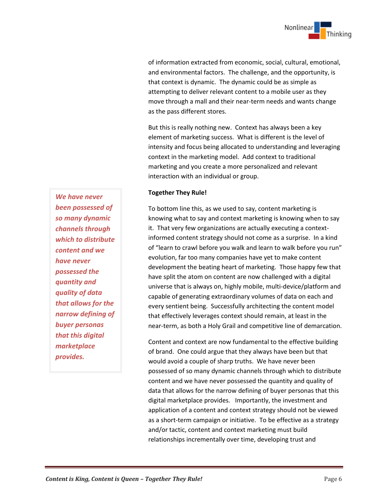

of information extracted from economic, social, cultural, emotional, and environmental factors. The challenge, and the opportunity, is that context is dynamic. The dynamic could be as simple as attempting to deliver relevant content to a mobile user as they move through a mall and their near-term needs and wants change as the pass different stores.

But this is really nothing new. Context has always been a key element of marketing success. What is different is the level of intensity and focus being allocated to understanding and leveraging context in the marketing model. Add context to traditional marketing and you create a more personalized and relevant interaction with an individual or group.

### **Together They Rule!**

To bottom line this, as we used to say, content marketing is knowing what to say and context marketing is knowing when to say it. That very few organizations are actually executing a contextinformed content strategy should not come as a surprise. In a kind of "learn to crawl before you walk and learn to walk before you run" evolution, far too many companies have yet to make content development the beating heart of marketing. Those happy few that have split the atom on content are now challenged with a digital universe that is always on, highly mobile, multi-device/platform and capable of generating extraordinary volumes of data on each and every sentient being. Successfully architecting the content model that effectively leverages context should remain, at least in the near-term, as both a Holy Grail and competitive line of demarcation.

Content and context are now fundamental to the effective building of brand. One could argue that they always have been but that would avoid a couple of sharp truths. We have never been possessed of so many dynamic channels through which to distribute content and we have never possessed the quantity and quality of data that allows for the narrow defining of buyer personas that this digital marketplace provides. Importantly, the investment and application of a content and context strategy should not be viewed as a short-term campaign or initiative. To be effective as a strategy and/or tactic, content and context marketing must build relationships incrementally over time, developing trust and

*We have never been possessed of so many dynamic channels through which to distribute content and we have never possessed the quantity and quality of data that allows for the narrow defining of buyer personas that this digital marketplace provides.*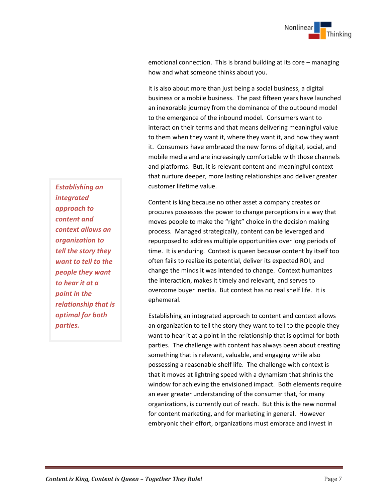emotional connection. This is brand building at its core – managing how and what someone thinks about you.

It is also about more than just being a social business, a digital business or a mobile business. The past fifteen years have launched an inexorable journey from the dominance of the outbound model to the emergence of the inbound model. Consumers want to interact on their terms and that means delivering meaningful value to them when they want it, where they want it, and how they want it. Consumers have embraced the new forms of digital, social, and mobile media and are increasingly comfortable with those channels and platforms. But, it is relevant content and meaningful context that nurture deeper, more lasting relationships and deliver greater customer lifetime value.

Content is king because no other asset a company creates or procures possesses the power to change perceptions in a way that moves people to make the "right" choice in the decision making process. Managed strategically, content can be leveraged and repurposed to address multiple opportunities over long periods of time. It is enduring. Context is queen because content by itself too often fails to realize its potential, deliver its expected ROI, and change the minds it was intended to change. Context humanizes the interaction, makes it timely and relevant, and serves to overcome buyer inertia. But context has no real shelf life. It is ephemeral.

Establishing an integrated approach to content and context allows an organization to tell the story they want to tell to the people they want to hear it at a point in the relationship that is optimal for both parties. The challenge with content has always been about creating something that is relevant, valuable, and engaging while also possessing a reasonable shelf life. The challenge with context is that it moves at lightning speed with a dynamism that shrinks the window for achieving the envisioned impact. Both elements require an ever greater understanding of the consumer that, for many organizations, is currently out of reach. But this is the new normal for content marketing, and for marketing in general. However embryonic their effort, organizations must embrace and invest in

*Establishing an integrated approach to content and context allows an organization to tell the story they want to tell to the people they want to hear it at a point in the relationship that is optimal for both parties.*